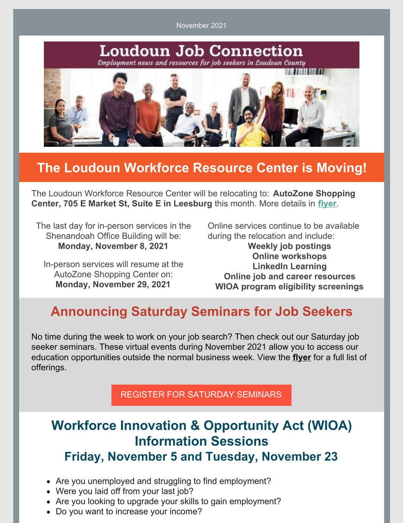November 2021



## **The Loudoun Workforce Resource Center is Moving!**

The Loudoun Workforce Resource Center will be relocating to: **AutoZone Shopping Center, 705 E Market St, Suite E in Leesburg** this month. More details in **[flyer](https://files.constantcontact.com/8ddd10a8801/79938244-12e1-4090-a147-9398d99080cf.pdf)**.

The last day for in-person services in the Shenandoah Office Building will be: **Monday, November 8, 2021**

In-person services will resume at the AutoZone Shopping Center on: **Monday, November 29, 2021**

Online services continue to be available during the relocation and include:

**Weekly job postings Online workshops LinkedIn Learning Online job and career resources WIOA program eligibility screenings**

## **Announcing Saturday Seminars for Job Seekers**

No time during the week to work on your job search? Then check out our Saturday job seeker seminars. These virtual events during November 2021 allow you to access our education opportunities outside the normal business week. View the **[flyer](https://www.loudoun.gov/DocumentCenter/View/167182/WRC-Saturday-Seminars-in-November-2021)** for a full list of offerings.

REGISTER FOR [SATURDAY](https://interwapp14.loudoun.gov/wrcw/) SEMINARS

## **Workforce Innovation & Opportunity Act (WIOA) Information Sessions Friday, November 5 and Tuesday, November 23**

- 
- Are you unemployed and struggling to find employment?
- Were you laid off from your last job?
- Are you looking to upgrade your skills to gain employment?
- Do you want to increase your income?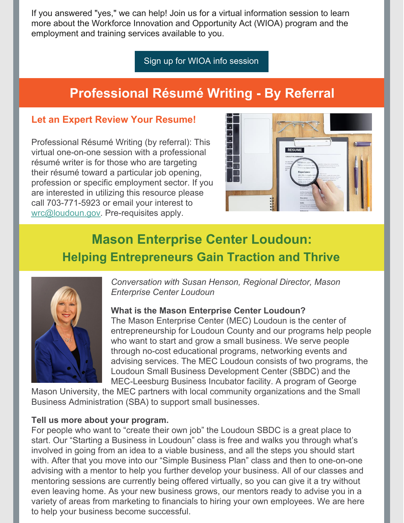If you answered "yes," we can help! Join us for a virtual information session to learn more about the Workforce Innovation and Opportunity Act (WIOA) program and the employment and training services available to you.

Sign up for WIOA info [session](https://files.constantcontact.com/8ddd10a8801/19ac86f7-7daf-4c3f-9cda-bbef3b2b5e65.pdf)

# **Professional Résumé Writing - By Referral**

### **Let an Expert Review Your Resume!**

Professional Résumé Writing (by referral): This virtual one-on-one session with a professional résumé writer is for those who are targeting their résumé toward a particular job opening, profession or specific employment sector. If you are interested in utilizing this resource please call 703-771-5923 or email your interest to [wrc@loudoun.gov](mailto:wrc@loudoun.gov). Pre-requisites apply.



# **Mason Enterprise Center Loudoun: Helping Entrepreneurs Gain Traction and Thrive**



*Conversation with Susan Henson, Regional Director, Mason Enterprise Center Loudoun*

### **What is the Mason Enterprise Center Loudoun?**

The Mason Enterprise Center (MEC) Loudoun is the center of entrepreneurship for Loudoun County and our programs help people who want to start and grow a small business. We serve people through no-cost educational programs, networking events and advising services. The MEC Loudoun consists of two programs, the Loudoun Small Business Development Center (SBDC) and the MEC-Leesburg Business Incubator facility. A program of George

Mason University, the MEC partners with local community organizations and the Small Business Administration (SBA) to support small businesses.

### **Tell us more about your program.**

For people who want to "create their own job" the Loudoun SBDC is a great place to start. Our "Starting a Business in Loudoun" class is free and walks you through what's involved in going from an idea to a viable business, and all the steps you should start with. After that you move into our "Simple Business Plan" class and then to one-on-one advising with a mentor to help you further develop your business. All of our classes and mentoring sessions are currently being offered virtually, so you can give it a try without even leaving home. As your new business grows, our mentors ready to advise you in a variety of areas from marketing to financials to hiring your own employees. We are here to help your business become successful.